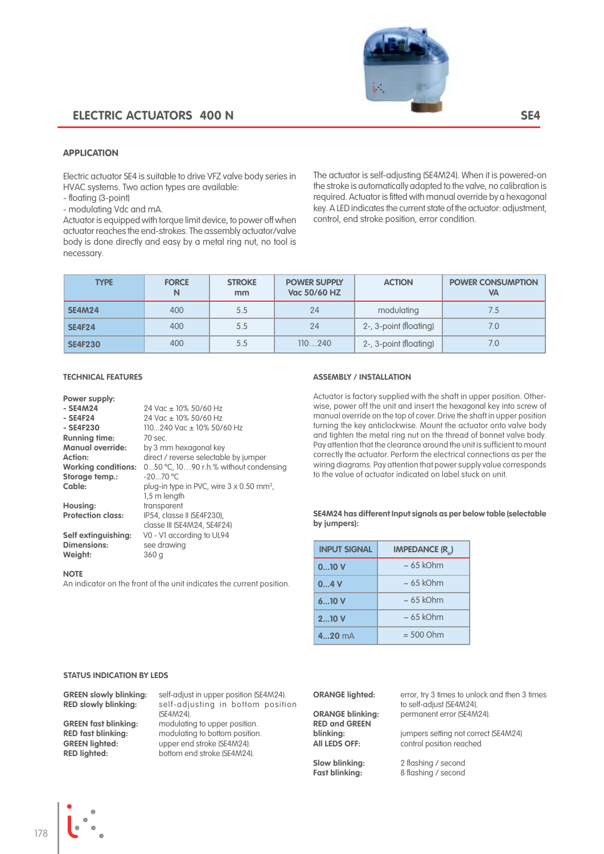# **ELECTRIC ACTUATORS 400 N SE4**



### APPLICATION

Electric actuator SE4 is suitable to drive VFZ valve body series in HVAC systems. Two action types are available:

- floating (3-point)

- modulating Vdc and mA.

Actuator is equipped with torque limit device, to power off when actuator reaches the end-strokes. The assembly actuator/valve body is done directly and easy by a metal ring nut, no tool is necessary.

The actuator is self-adjusting (SE4M24). When it is powered-on the stroke is automatically adapted to the valve, no calibration is required. Actuator is fitted with manual override by a hexagonal key. A LED indicates the current state of the actuator: adjustment, control, end stroke position, error condition.

| <b>TYPE</b>    | <b>FORCE</b><br>N | <b>STROKE</b><br>mm | <b>POWER SUPPLY</b><br><b>ACTION</b><br>Vac 50/60 HZ |                        | <b>POWER CONSUMPTION</b><br>VA |
|----------------|-------------------|---------------------|------------------------------------------------------|------------------------|--------------------------------|
| <b>SE4M24</b>  | 400               | 5.5                 | 24                                                   | modulating             | 7.5                            |
| <b>SE4F24</b>  | 400               | 5.5                 | 24                                                   | 2-, 3-point (floating) | 7.0                            |
| <b>SE4F230</b> | 400               | 5.5                 | 110240                                               | 2-, 3-point (floating) | 7.0                            |

#### **TECHNICAL FEATURES**

#### **Power supply: - SE4M24** 24 Vac ± 10% 50/60 Hz<br> **- SE4F24** 24 Vac ± 10% 50/60 Hz **- SE4F24** 24 Vac ± 10% 50/60 Hz<br> **- SE4F230** 110...240 Vac ± 10% 50/ 110...240 Vac ± 10% 50/60 Hz **Running time:** 70 sec. **Manual override:** by 3 mm hexagonal key<br>**Action:** direct / reverse selectable Action: direct / reverse selectable by jumper<br>**Working conditions:** 0...50 °C, 10...90 r.h.% without conde 0...50 °C, 10...90 r.h.% without condensing -20...70 °C **Storage temp.: Cable:** plug-in type in PVC, wire 3 x 0.50 mm<sup>2</sup>, 1.5 m length **Housing:** transparent<br>**Protection class:** IP54, classe **Protection class:** IP54, classe II (SE4F230), classe III (SE4M24, SE4F24) **Self extinguishing:** V0 - V1 according to UL94<br>**Dimensions:** See drawing see drawing

An indicator on the front of the unit indicates the current position.

#### **assembly / installation**

Actuator is factory supplied with the shaft in upper position. Otherwise, power off the unit and insert the hexagonal key into screw of manual override on the top of cover. Drive the shaft in upper position turning the key anticlockwise. Mount the actuator onto valve body and tighten the metal ring nut on the thread of bonnet valve body. Pay attention that the clearance around the unit is sufficient to mount correctly the actuator. Perform the electrical connections as per the wiring diagrams. Pay attention that power supply value corresponds to the value of actuator indicated on label stuck on unit.

#### **SE4M24 has different Input signals as per below table (selectable by jumpers):**

| <b>INPUT SIGNAL</b> | <b>IMPEDANCE (R.)</b> |  |  |
|---------------------|-----------------------|--|--|
| 010V                | $\sim 65$ kOhm        |  |  |
| 0.4V                | $\sim 65$ kOhm        |  |  |
| 610V                | $\sim 65$ kOhm        |  |  |
| 210V                | $\sim 65$ kOhm        |  |  |
| $420$ mA            | $= 500$ Ohm           |  |  |

#### **status indication by leds**

**Weight:** 360 g

**NOTE**

| <b>GREEN slowly blinking:</b>                                                                            | self-adjust in upper position (SE4M24).                                                                                      |  |  |  |
|----------------------------------------------------------------------------------------------------------|------------------------------------------------------------------------------------------------------------------------------|--|--|--|
| <b>RED slowly blinking:</b>                                                                              | self-adjusting in bottom position<br>(SE4M24).                                                                               |  |  |  |
| <b>GREEN fast blinking:</b><br><b>RED fast blinking:</b><br><b>GREEN lighted:</b><br><b>RED liahted:</b> | modulating to upper position.<br>modulating to bottom position.<br>upper end stroke (SE4M24).<br>bottom end stroke (SE4M24). |  |  |  |
|                                                                                                          |                                                                                                                              |  |  |  |

**RED and GREEN** 

**ORANGE lighted:** error, try 3 times to unlock and then 3 times to self-adjust (SE4M24). **ORANGe blinking:** permanent error (SE4M24).

**blinking:** jumpers setting not correct (SE4M24)<br>**All LEDS OFF:** control position reached control position reached

**Slow blinking:** 2 flashing / second<br> **Fast blinking:** 8 flashing / second **Fast blinking:** 8 flashing / second